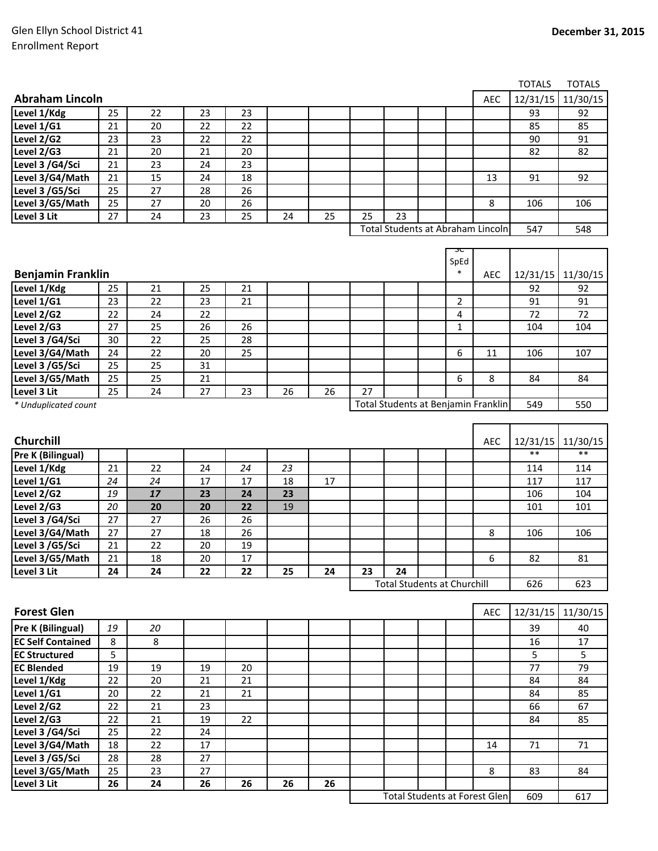609 617

Total Students at Forest Glen

|                                   |                |    |        |                 |    |    |    |                                    |  |                |                                     | <b>TOTALS</b> | <b>TOTALS</b> |
|-----------------------------------|----------------|----|--------|-----------------|----|----|----|------------------------------------|--|----------------|-------------------------------------|---------------|---------------|
| <b>Abraham Lincoln</b>            |                |    |        |                 |    |    |    |                                    |  |                | <b>AEC</b>                          | 12/31/15      | 11/30/15      |
| Level 1/Kdg                       | 25             | 22 | 23     | 23              |    |    |    |                                    |  |                |                                     | 93            | 92            |
| Level $1/G1$                      | 21             | 20 | 22     | 22              |    |    |    |                                    |  |                |                                     | 85            | 85            |
| Level 2/G2                        | 23             | 23 | 22     | 22              |    |    |    |                                    |  |                |                                     | 90            | 91            |
| Level 2/G3                        | 21             | 20 | 21     | 20              |    |    |    |                                    |  |                |                                     | 82            | 82            |
| Level 3 /G4/Sci                   | 21             | 23 | 24     | 23              |    |    |    |                                    |  |                |                                     |               |               |
| Level 3/G4/Math                   | 21             | 15 | 24     | 18              |    |    |    |                                    |  |                | 13                                  | 91            | 92            |
| Level 3 /G5/Sci                   | 25             | 27 | 28     | 26              |    |    |    |                                    |  |                |                                     |               |               |
| Level 3/G5/Math                   | 25             | 27 | 20     | 26              |    |    |    |                                    |  |                | 8                                   | 106           | 106           |
| Level 3 Lit                       | 27             | 24 | 23     | 25              | 24 | 25 | 25 | 23                                 |  |                |                                     |               |               |
| Total Students at Abraham Lincoln |                |    |        |                 |    |    |    |                                    |  |                | 547                                 | 548           |               |
|                                   |                |    |        |                 |    |    |    |                                    |  |                |                                     |               |               |
|                                   |                |    |        |                 |    |    |    |                                    |  |                |                                     |               |               |
| <b>Benjamin Franklin</b>          |                |    |        |                 |    |    |    |                                    |  | SpEd<br>$\ast$ | <b>AEC</b>                          | 12/31/15      | 11/30/15      |
| Level 1/Kdg                       | 25             | 21 | 25     | 21              |    |    |    |                                    |  |                |                                     | 92            | 92            |
| Level 1/G1                        | 23             | 22 | 23     | 21              |    |    |    |                                    |  | $\overline{2}$ |                                     | 91            | 91            |
| Level $2/G2$                      | 22             | 24 | 22     |                 |    |    |    |                                    |  | 4              |                                     | 72            | 72            |
| Level 2/G3                        | 27             | 25 | 26     | 26              |    |    |    |                                    |  | $\mathbf{1}$   |                                     | 104           | 104           |
| Level 3 /G4/Sci                   | 30             | 22 | 25     | 28              |    |    |    |                                    |  |                |                                     |               |               |
| Level 3/G4/Math                   | 24             | 22 | 20     | 25              |    |    |    |                                    |  | 6              | 11                                  | 106           | 107           |
| Level 3 /G5/Sci                   | 25             | 25 | 31     |                 |    |    |    |                                    |  |                |                                     |               |               |
| Level 3/G5/Math                   | 25             | 25 | 21     |                 |    |    |    |                                    |  | 6              | 8                                   | 84            | 84            |
| Level 3 Lit                       | 25             | 24 | 27     | 23              | 26 | 26 | 27 |                                    |  |                |                                     |               |               |
| * Unduplicated count              |                |    |        |                 |    |    |    |                                    |  |                | Total Students at Benjamin Franklin | 549           | 550           |
|                                   |                |    |        |                 |    |    |    |                                    |  |                |                                     |               |               |
|                                   |                |    |        |                 |    |    |    |                                    |  |                |                                     |               |               |
| Churchill                         |                |    |        |                 |    |    |    |                                    |  |                | <b>AEC</b>                          | 12/31/15      | 11/30/15      |
| <b>Pre K (Bilingual)</b>          |                |    |        |                 |    |    |    |                                    |  |                |                                     | $**$          | $**$          |
| Level 1/Kdg                       | 21             | 22 | 24     | 24              | 23 |    |    |                                    |  |                |                                     | 114           | 114           |
| Level 1/G1                        | 24             | 24 | 17     | 17              | 18 | 17 |    |                                    |  |                |                                     | 117           | 117           |
| Level 2/G2                        | 19             | 17 | 23     | 24              | 23 |    |    |                                    |  |                |                                     | 106           | 104           |
| Level 2/G3                        | 20             | 20 | 20     | 22              | 19 |    |    |                                    |  |                |                                     | 101           | 101           |
| Level 3 /G4/Sci                   | 27             | 27 | 26     | 26              |    |    |    |                                    |  |                |                                     |               |               |
| Level 3/G4/Math                   | 27             | 27 | 18     | 26              |    |    |    |                                    |  |                | 8                                   | 106           | 106           |
| Level 3 /G5/Sci                   | 21             | 22 | 20     | 19              |    |    |    |                                    |  |                |                                     |               |               |
| Level 3/G5/Math                   | 21             | 18 | $20\,$ | $\overline{17}$ |    |    |    |                                    |  |                | 6                                   | 82            | 81            |
| Level 3 Lit                       | 24             | 24 | 22     | 22              | 25 | 24 | 23 | 24                                 |  |                |                                     |               |               |
|                                   |                |    |        |                 |    |    |    | <b>Total Students at Churchill</b> |  |                |                                     | 626           | 623           |
|                                   |                |    |        |                 |    |    |    |                                    |  |                |                                     |               |               |
| <b>Forest Glen</b>                |                |    |        |                 |    |    |    |                                    |  |                | AEC                                 | 12/31/15      | 11/30/15      |
| Pre K (Bilingual)                 | 19             | 20 |        |                 |    |    |    |                                    |  |                |                                     | 39            | 40            |
| <b>EC Self Contained</b>          | 8              | 8  |        |                 |    |    |    |                                    |  |                |                                     | 16            | 17            |
| <b>EC Structured</b>              | $\overline{5}$ |    |        |                 |    |    |    |                                    |  |                |                                     | 5             | 5             |
| <b>EC Blended</b>                 | 19             | 19 | 19     | 20              |    |    |    |                                    |  |                |                                     | 77            | 79            |
| Level 1/Kdg                       | 22             | 20 | 21     | $\overline{21}$ |    |    |    |                                    |  |                |                                     | 84            | 84            |
| Level 1/G1                        | 20             | 22 | 21     | 21              |    |    |    |                                    |  |                |                                     | 84            | 85            |
| Level 2/G2                        | 22             | 21 | 23     |                 |    |    |    |                                    |  |                |                                     | 66            | 67            |
| Level 2/G3                        | 22             | 21 | 19     | 22              |    |    |    |                                    |  |                |                                     | 84            | 85            |
| Level 3 /G4/Sci                   | 25             | 22 | 24     |                 |    |    |    |                                    |  |                |                                     |               |               |
| Level 3/G4/Math                   | 18             | 22 | 17     |                 |    |    |    |                                    |  |                | 14                                  | 71            | 71            |
| Level 3 /G5/Sci                   | 28             | 28 | 27     |                 |    |    |    |                                    |  |                |                                     |               |               |
| Level 3/G5/Math                   | 25             | 23 | 27     |                 |    |    |    |                                    |  |                | 8                                   | 83            | 84            |
| Level 3 Lit                       | 26             | 24 | 26     | 26              | 26 | 26 |    |                                    |  |                |                                     |               |               |